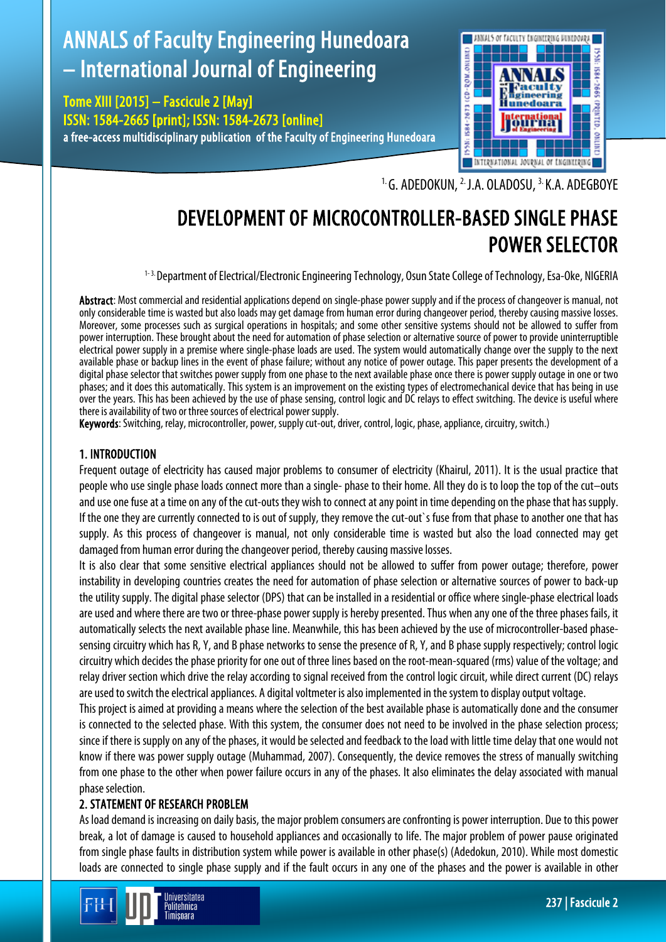# ANNALS of Faculty Engineering Hunedoara – International Journal of Engineering

Tome XIII [2015] – Fascicule 2 [May] ISSN: 1584-2665 [print]; ISSN: 1584-2673 [online] a free-access multidisciplinary publication of the Faculty of Engineering Hunedoara



<sup>1.</sup> G. ADEDOKUN, <sup>2.</sup> J.A. OLADOSU, <sup>3.</sup> K.A. ADEGBOYE

# DEVELOPMENT OF MICROCONTROLLER-BASED SINGLE PHASE POWER SELECTOR

1-3. Department of Electrical/Electronic Engineering Technology, Osun State College of Technology, Esa-Oke, NIGERIA

Abstract: Most commercial and residential applications depend on single-phase power supply and if the process of changeover is manual, not only considerable time is wasted but also loads may get damage from human error during changeover period, thereby causing massive losses. Moreover, some processes such as surgical operations in hospitals; and some other sensitive systems should not be allowed to suffer from power interruption. These brought about the need for automation of phase selection or alternative source of power to provide uninterruptible electrical power supply in a premise where single-phase loads are used. The system would automatically change over the supply to the next available phase or backup lines in the event of phase failure; without any notice of power outage. This paper presents the development of a digital phase selector that switches power supply from one phase to the next available phase once there is power supply outage in one or two phases; and it does this automatically. This system is an improvement on the existing types of electromechanical device that has being in use over the years. This has been achieved by the use of phase sensing, control logic and DC relays to effect switching. The device is useful where there is availability of two or three sources of electrical power supply.

Keywords: Switching, relay, microcontroller, power, supply cut-out, driver, control, logic, phase, appliance, circuitry, switch.)

# 1. INTRODUCTION

Frequent outage of electricity has caused major problems to consumer of electricity (Khairul, 2011). It is the usual practice that people who use single phase loads connect more than a single-phase to their home. All they do is to loop the top of the cut–outs and use one fuse at a time on any of the cut-outs they wish to connect at any point in time depending on the phase that has supply. If the one they are currently connected to is out of supply, they remove the cut-out`s fuse from that phase to another one that has supply. As this process of changeover is manual, not only considerable time is wasted but also the load connected may get damaged from human error during the changeover period, thereby causing massive losses.

It is also clear that some sensitive electrical appliances should not be allowed to suffer from power outage; therefore, power instability in developing countries creates the need for automation of phase selection or alternative sources of power to back-up the utility supply. The digital phase selector (DPS) that can be installed in a residential or office where single-phase electrical loads are used and where there are two or three-phase power supply is hereby presented. Thus when any one of the three phases fails, it automatically selects the next available phase line. Meanwhile, this has been achieved by the use of microcontroller-based phasesensing circuitry which has R, Y, and B phase networks to sense the presence of R, Y, and B phase supply respectively; control logic circuitry which decides the phase priority for one out of three lines based on the root-mean-squared (rms) value of the voltage; and relay driver section which drive the relay according to signal received from the control logic circuit, while direct current (DC) relays are used to switch the electrical appliances. A digital voltmeter is also implemented in the system to display output voltage.

This project is aimed at providing a means where the selection of the best available phase is automatically done and the consumer is connected to the selected phase. With this system, the consumer does not need to be involved in the phase selection process; since if there is supply on any of the phases, it would be selected and feedback to the load with little time delay that one would not know if there was power supply outage (Muhammad, 2007). Consequently, the device removes the stress of manually switching from one phase to the other when power failure occurs in any of the phases. It also eliminates the delay associated with manual phase selection.

# 2. STATEMENT OF RESEARCH PROBLEM

As load demand is increasing on daily basis, the major problem consumers are confronting is power interruption. Due to this power break, a lot of damage is caused to household appliances and occasionally to life. The major problem of power pause originated from single phase faults in distribution system while power is available in other phase(s) (Adedokun, 2010). While most domestic loads are connected to single phase supply and if the fault occurs in any one of the phases and the power is available in other

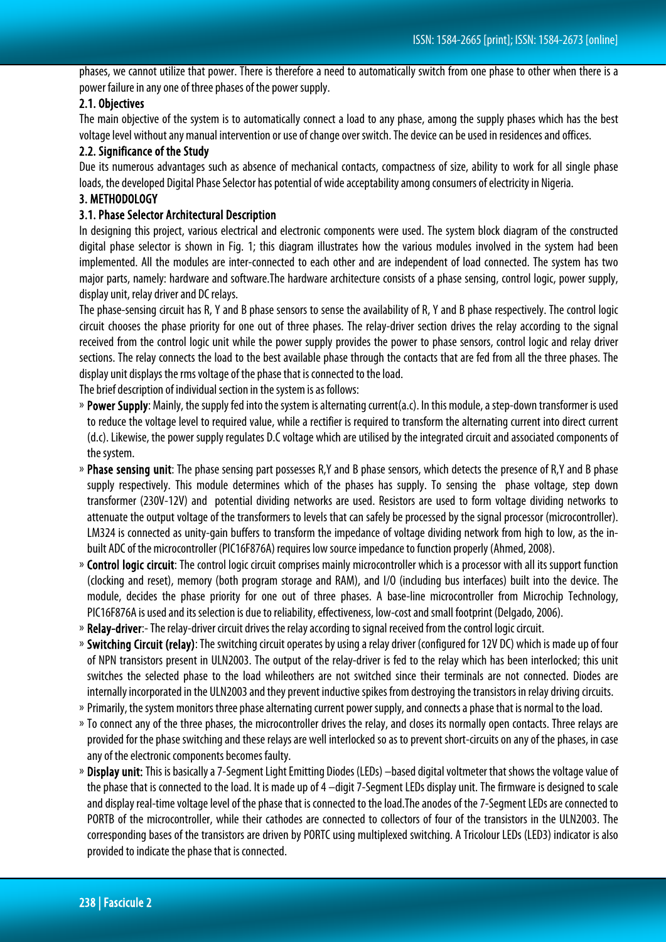phases, we cannot utilize that power. There is therefore a need to automatically switch from one phase to other when there is a power failure in any one of three phases of the power supply.

#### 2.1. Objectives

The main objective of the system is to automatically connect a load to any phase, among the supply phases which has the best voltage level without any manual intervention or use of change over switch. The device can be used in residences and offices.

#### 2.2. Significance of the Study

Due its numerous advantages such as absence of mechanical contacts, compactness of size, ability to work for all single phase loads, the developed Digital Phase Selector has potential of wide acceptability among consumers of electricity in Nigeria.

#### 3. METHODOLOGY

#### 3.1. Phase Selector Architectural Description

In designing this project, various electrical and electronic components were used. The system block diagram of the constructed digital phase selector is shown in Fig. 1; this diagram illustrates how the various modules involved in the system had been implemented. All the modules are inter-connected to each other and are independent of load connected. The system has two major parts, namely: hardware and software.The hardware architecture consists of a phase sensing, control logic, power supply, display unit, relay driver and DC relays.

The phase-sensing circuit has R, Y and B phase sensors to sense the availability of R, Y and B phase respectively. The control logic circuit chooses the phase priority for one out of three phases. The relay-driver section drives the relay according to the signal received from the control logic unit while the power supply provides the power to phase sensors, control logic and relay driver sections. The relay connects the load to the best available phase through the contacts that are fed from all the three phases. The display unit displays the rms voltage of the phase that is connected to the load.

The brief description of individual section in the system is as follows:

- » Power Supply: Mainly, the supply fed into the system is alternating current(a.c). In this module, a step-down transformer is used to reduce the voltage level to required value, while a rectifier is required to transform the alternating current into direct current (d.c). Likewise, the power supply regulates D.C voltage which are utilised by the integrated circuit and associated components of the system.
- Phase sensing unit: The phase sensing part possesses R,Y and B phase sensors, which detects the presence of R,Y and B phase supply respectively. This module determines which of the phases has supply. To sensing the phase voltage, step down transformer (230V-12V) and potential dividing networks are used. Resistors are used to form voltage dividing networks to attenuate the output voltage of the transformers to levels that can safely be processed by the signal processor (microcontroller). LM324 is connected as unity-gain buffers to transform the impedance of voltage dividing network from high to low, as the inbuilt ADC of the microcontroller (PIC16F876A) requires low source impedance to function properly (Ahmed, 2008).
- Control logic circuit: The control logic circuit comprises mainly microcontroller which is a processor with all its support function (clocking and reset), memory (both program storage and RAM), and I/O (including bus interfaces) built into the device. The module, decides the phase priority for one out of three phases. A base-line microcontroller from Microchip Technology, PIC16F876A is used and its selection is due to reliability, effectiveness, low-cost and small footprint (Delgado, 2006).
- » Relay-driver:- The relay-driver circuit drives the relay according to signal received from the control logic circuit.
- » Switching Circuit (relay): The switching circuit operates by using a relay driver (configured for 12V DC) which is made up of four of NPN transistors present in ULN2003. The output of the relay-driver is fed to the relay which has been interlocked; this unit switches the selected phase to the load whileothers are not switched since their terminals are not connected. Diodes are internally incorporated in the ULN2003 and they prevent inductive spikes from destroying the transistors in relay driving circuits.
- » Primarily, the system monitors three phase alternating current power supply, and connects a phase that is normal to the load.
- » To connect any of the three phases, the microcontroller drives the relay, and closes its normally open contacts. Three relays are provided for the phase switching and these relays are well interlocked so as to prevent short-circuits on any of the phases, in case any of the electronic components becomes faulty.
- » Display unit: This is basically a 7-Segment Light Emitting Diodes (LEDs) -based digital voltmeter that shows the voltage value of the phase that is connected to the load. It is made up of 4 –digit 7-Segment LEDs display unit. The firmware is designed to scale and display real-time voltage level of the phase that is connected to the load.The anodes of the 7-Segment LEDs are connected to PORTB of the microcontroller, while their cathodes are connected to collectors of four of the transistors in the ULN2003. The corresponding bases of the transistors are driven by PORTC using multiplexed switching. A Tricolour LEDs (LED3) indicator is also provided to indicate the phase that is connected.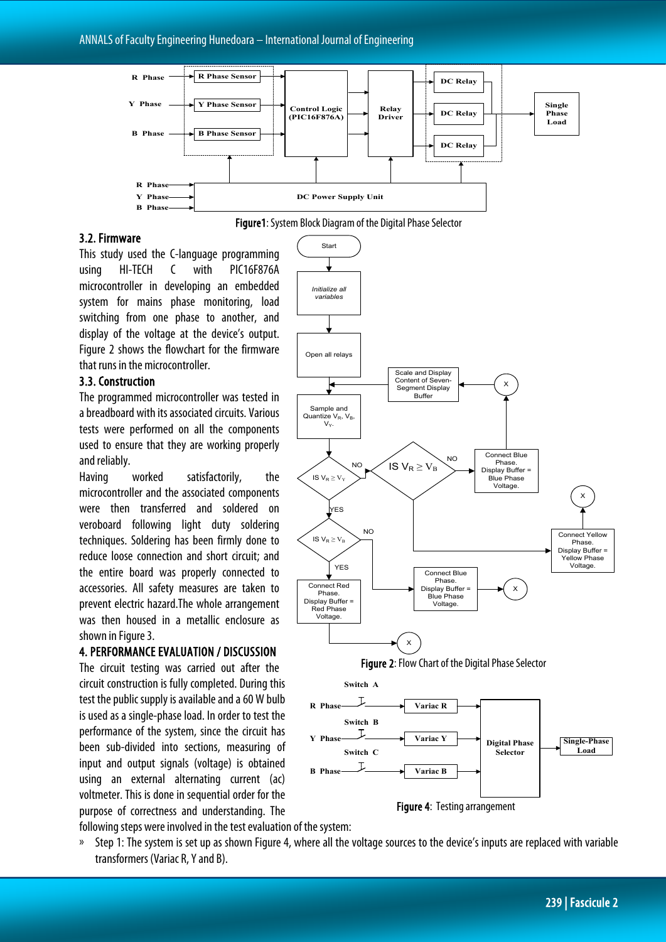

### 3.2. Firmware

This study used the C-language programming using HI-TECH C with PIC16F876A microcontroller in developing an embedded system for mains phase monitoring, load switching from one phase to another, and display of the voltage at the device's output. Figure 2 shows the flowchart for the firmware that runs in the microcontroller.

#### 3.3. Construction

The programmed microcontroller was tested in a breadboard with its associated circuits. Various tests were performed on all the components used to ensure that they are working properly and reliably.

Having worked satisfactorily, the microcontroller and the associated components were then transferred and soldered on veroboard following light duty soldering techniques. Soldering has been firmly done to reduce loose connection and short circuit; and the entire board was properly connected to accessories. All safety measures are taken to prevent electric hazard.The whole arrangement was then housed in a metallic enclosure as shown in Figure 3.

#### 4. PERFORMANCE EVALUATION / DISCUSSION

The circuit testing was carried out after the circuit construction is fully completed. During this test the public supply is available and a 60 W bulb is used as a single-phase load. In order to test the performance of the system, since the circuit has been sub-divided into sections, measuring of input and output signals (voltage) is obtained using an external alternating current (ac) voltmeter. This is done in sequential order for the purpose of correctness and understanding. The following steps were involved in the test evaluation of the system:





» Step 1: The system is set up as shown Figure 4, where all the voltage sources to the device's inputs are replaced with variable transformers (Variac R, Y and B).